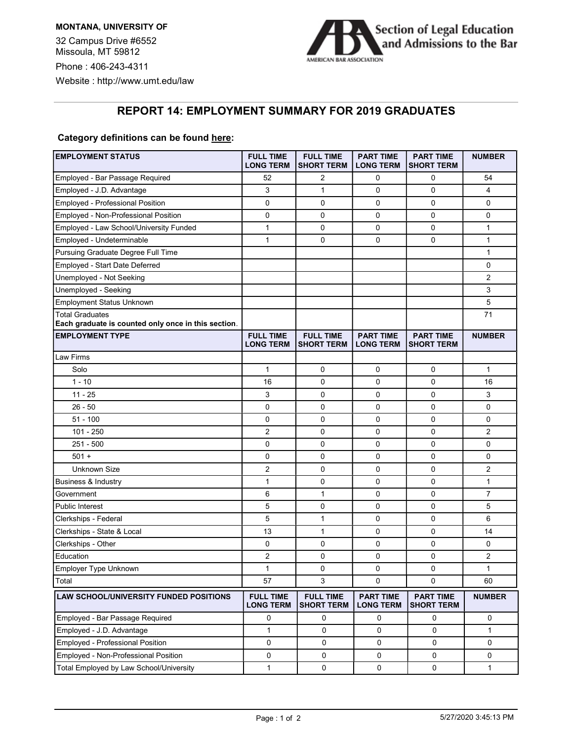

## REPORT 14: EMPLOYMENT SUMMARY FOR 2019 GRADUATES

## Category definitions can be found here:

| <b>EMPLOYMENT STATUS</b>                                                      | <b>FULL TIME</b><br><b>LONG TERM</b> | <b>FULL TIME</b><br><b>SHORT TERM</b> | <b>PART TIME</b><br><b>LONG TERM</b> | <b>PART TIME</b><br><b>SHORT TERM</b> | <b>NUMBER</b>  |
|-------------------------------------------------------------------------------|--------------------------------------|---------------------------------------|--------------------------------------|---------------------------------------|----------------|
| Employed - Bar Passage Required                                               | 52                                   | $\overline{2}$                        | 0                                    | 0                                     | 54             |
| Employed - J.D. Advantage                                                     | 3                                    | $\mathbf{1}$                          | 0                                    | $\mathbf 0$                           | 4              |
| <b>Employed - Professional Position</b>                                       | 0                                    | 0                                     | 0                                    | 0                                     | 0              |
| Employed - Non-Professional Position                                          | $\mathbf 0$                          | 0                                     | 0                                    | $\mathbf 0$                           | 0              |
| Employed - Law School/University Funded                                       | 1                                    | 0                                     | 0                                    | $\mathbf 0$                           | 1              |
| Employed - Undeterminable                                                     | 1                                    | 0                                     | 0                                    | 0                                     | 1              |
| Pursuing Graduate Degree Full Time                                            |                                      |                                       |                                      |                                       | 1              |
| Employed - Start Date Deferred                                                |                                      |                                       |                                      |                                       | 0              |
| Unemployed - Not Seeking                                                      |                                      |                                       |                                      |                                       | 2              |
| Unemployed - Seeking                                                          |                                      |                                       |                                      |                                       | 3              |
| <b>Employment Status Unknown</b>                                              |                                      |                                       |                                      |                                       | 5              |
| <b>Total Graduates</b><br>Each graduate is counted only once in this section. |                                      |                                       |                                      |                                       | 71             |
| <b>EMPLOYMENT TYPE</b>                                                        | <b>FULL TIME</b><br><b>LONG TERM</b> | <b>FULL TIME</b><br><b>SHORT TERM</b> | <b>PART TIME</b><br><b>LONG TERM</b> | <b>PART TIME</b><br><b>SHORT TERM</b> | <b>NUMBER</b>  |
| Law Firms                                                                     |                                      |                                       |                                      |                                       |                |
| Solo                                                                          | $\mathbf{1}$                         | 0                                     | 0                                    | 0                                     | $\mathbf{1}$   |
| $1 - 10$                                                                      | 16                                   | 0                                     | 0                                    | 0                                     | 16             |
| 11 - 25                                                                       | 3                                    | 0                                     | 0                                    | 0                                     | 3              |
| $26 - 50$                                                                     | 0                                    | 0                                     | 0                                    | 0                                     | 0              |
| $51 - 100$                                                                    | 0                                    | 0                                     | 0                                    | 0                                     | 0              |
| $101 - 250$                                                                   | $\overline{2}$                       | 0                                     | 0                                    | 0                                     | $\overline{2}$ |
| $251 - 500$                                                                   | 0                                    | 0                                     | 0                                    | 0                                     | 0              |
| $501 +$                                                                       | $\mathbf 0$                          | 0                                     | 0                                    | 0                                     | 0              |
| <b>Unknown Size</b>                                                           | $\overline{c}$                       | 0                                     | 0                                    | 0                                     | 2              |
| Business & Industry                                                           | 1                                    | 0                                     | 0                                    | 0                                     | 1              |
| Government                                                                    | 6                                    | $\mathbf{1}$                          | 0                                    | 0                                     | $\overline{7}$ |
| <b>Public Interest</b>                                                        | 5                                    | 0                                     | 0                                    | 0                                     | 5              |
| Clerkships - Federal                                                          | 5                                    | $\mathbf{1}$                          | 0                                    | 0                                     | 6              |
| Clerkships - State & Local                                                    | 13                                   | $\mathbf{1}$                          | 0                                    | 0                                     | 14             |
| Clerkships - Other                                                            | 0                                    | 0                                     | 0                                    | 0                                     | 0              |
| Education                                                                     | 2                                    | 0                                     | 0                                    | 0                                     | 2              |
| Employer Type Unknown                                                         | 1                                    | $\pmb{0}$                             | 0                                    | $\pmb{0}$                             | 1              |
| Total                                                                         | 57                                   | 3                                     | $\mathbf 0$                          | 0                                     | 60             |
| LAW SCHOOL/UNIVERSITY FUNDED POSITIONS                                        | <b>FULL TIME</b><br><b>LONG TERM</b> | <b>FULL TIME</b><br><b>SHORT TERM</b> | <b>PART TIME</b><br><b>LONG TERM</b> | <b>PART TIME</b><br><b>SHORT TERM</b> | <b>NUMBER</b>  |
| Employed - Bar Passage Required                                               | 0                                    | 0                                     | 0                                    | 0                                     | $\mathbf 0$    |
| Employed - J.D. Advantage                                                     | $\mathbf{1}$                         | $\mathbf 0$                           | 0                                    | 0                                     | $\mathbf{1}$   |
| <b>Employed - Professional Position</b>                                       | 0                                    | $\pmb{0}$                             | 0                                    | 0                                     | 0              |
| Employed - Non-Professional Position                                          | 0                                    | $\pmb{0}$                             | 0                                    | 0                                     | 0              |
| Total Employed by Law School/University                                       | 1                                    | 0                                     | $\pmb{0}$                            | 0                                     | $\mathbf{1}$   |